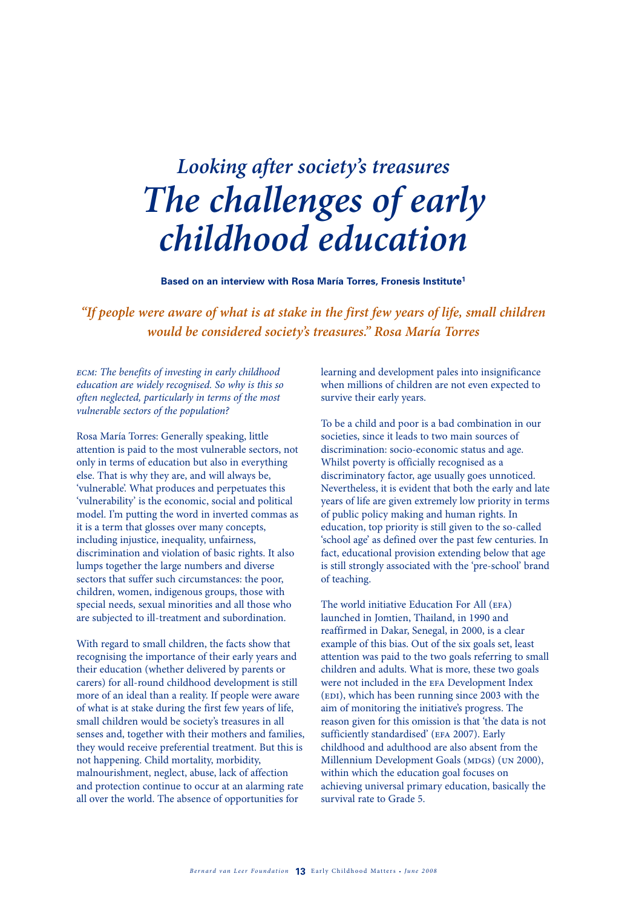# *Looking after society's treasures The challenges of early childhood education*

**Based on an interview with Rosa María Torres, Fronesis Institute1**

*"If people were aware of what is at stake in the first few years of life, small children would be considered society's treasures." Rosa María Torres*

*ecm: The benefits of investing in early childhood education are widely recognised. So why is this so often neglected, particularly in terms of the most vulnerable sectors of the population?* 

Rosa María Torres: Generally speaking, little attention is paid to the most vulnerable sectors, not only in terms of education but also in everything else. That is why they are, and will always be, 'vulnerable'. What produces and perpetuates this 'vulnerability' is the economic, social and political model. I'm putting the word in inverted commas as it is a term that glosses over many concepts, including injustice, inequality, unfairness, discrimination and violation of basic rights. It also lumps together the large numbers and diverse sectors that suffer such circumstances: the poor, children, women, indigenous groups, those with special needs, sexual minorities and all those who are subjected to ill-treatment and subordination.

With regard to small children, the facts show that recognising the importance of their early years and their education (whether delivered by parents or carers) for all-round childhood development is still more of an ideal than a reality. If people were aware of what is at stake during the first few years of life, small children would be society's treasures in all senses and, together with their mothers and families, they would receive preferential treatment. But this is not happening. Child mortality, morbidity, malnourishment, neglect, abuse, lack of affection and protection continue to occur at an alarming rate all over the world. The absence of opportunities for

learning and development pales into insignificance when millions of children are not even expected to survive their early years.

To be a child and poor is a bad combination in our societies, since it leads to two main sources of discrimination: socio-economic status and age. Whilst poverty is officially recognised as a discriminatory factor, age usually goes unnoticed. Nevertheless, it is evident that both the early and late years of life are given extremely low priority in terms of public policy making and human rights. In education, top priority is still given to the so-called 'school age' as defined over the past few centuries. In fact, educational provision extending below that age is still strongly associated with the 'pre-school' brand of teaching.

The world initiative Education For All (EFA) launched in Jomtien, Thailand, in 1990 and reaffirmed in Dakar, Senegal, in 2000, is a clear example of this bias. Out of the six goals set, least attention was paid to the two goals referring to small children and adults. What is more, these two goals were not included in the efa Development Index (EDI), which has been running since 2003 with the aim of monitoring the initiative's progress. The reason given for this omission is that 'the data is not sufficiently standardised' (EFA 2007). Early childhood and adulthood are also absent from the Millennium Development Goals (MDGs) (UN 2000), within which the education goal focuses on achieving universal primary education, basically the survival rate to Grade 5.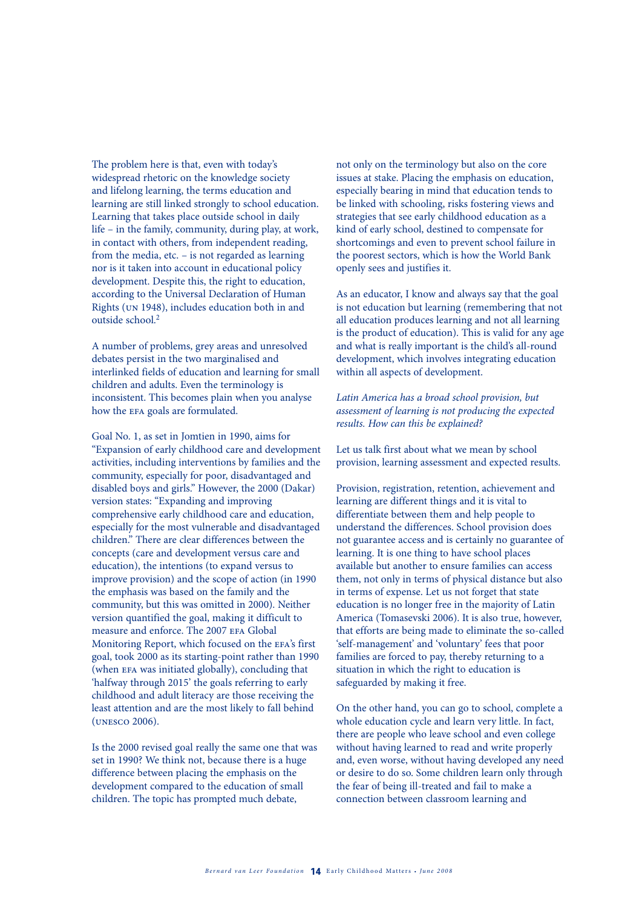The problem here is that, even with today's widespread rhetoric on the knowledge society and lifelong learning, the terms education and learning are still linked strongly to school education. Learning that takes place outside school in daily life – in the family, community, during play, at work, in contact with others, from independent reading, from the media, etc. – is not regarded as learning nor is it taken into account in educational policy development. Despite this, the right to education, according to the Universal Declaration of Human Rights (un 1948), includes education both in and outside school<sup>2</sup>

A number of problems, grey areas and unresolved debates persist in the two marginalised and interlinked fields of education and learning for small children and adults. Even the terminology is inconsistent. This becomes plain when you analyse how the EFA goals are formulated.

Goal No. 1, as set in Jomtien in 1990, aims for "Expansion of early childhood care and development activities, including interventions by families and the community, especially for poor, disadvantaged and disabled boys and girls." However, the 2000 (Dakar) version states: "Expanding and improving comprehensive early childhood care and education, especially for the most vulnerable and disadvantaged children." There are clear differences between the concepts (care and development versus care and education), the intentions (to expand versus to improve provision) and the scope of action (in 1990 the emphasis was based on the family and the community, but this was omitted in 2000). Neither version quantified the goal, making it difficult to measure and enforce. The 2007 EFA Global Monitoring Report, which focused on the efa's first goal, took 2000 as its starting-point rather than 1990 (when efa was initiated globally), concluding that 'halfway through 2015' the goals referring to early childhood and adult literacy are those receiving the least attention and are the most likely to fall behind (unesco 2006).

Is the 2000 revised goal really the same one that was set in 1990? We think not, because there is a huge difference between placing the emphasis on the development compared to the education of small children. The topic has prompted much debate,

not only on the terminology but also on the core issues at stake. Placing the emphasis on education, especially bearing in mind that education tends to be linked with schooling, risks fostering views and strategies that see early childhood education as a kind of early school, destined to compensate for shortcomings and even to prevent school failure in the poorest sectors, which is how the World Bank openly sees and justifies it.

As an educator, I know and always say that the goal is not education but learning (remembering that not all education produces learning and not all learning is the product of education). This is valid for any age and what is really important is the child's all-round development, which involves integrating education within all aspects of development.

*Latin America has a broad school provision, but assessment of learning is not producing the expected results. How can this be explained?*

Let us talk first about what we mean by school provision, learning assessment and expected results.

Provision, registration, retention, achievement and learning are different things and it is vital to differentiate between them and help people to understand the differences. School provision does not guarantee access and is certainly no guarantee of learning. It is one thing to have school places available but another to ensure families can access them, not only in terms of physical distance but also in terms of expense. Let us not forget that state education is no longer free in the majority of Latin America (Tomasevski 2006). It is also true, however, that efforts are being made to eliminate the so-called 'self-management' and 'voluntary' fees that poor families are forced to pay, thereby returning to a situation in which the right to education is safeguarded by making it free.

On the other hand, you can go to school, complete a whole education cycle and learn very little. In fact, there are people who leave school and even college without having learned to read and write properly and, even worse, without having developed any need or desire to do so. Some children learn only through the fear of being ill-treated and fail to make a connection between classroom learning and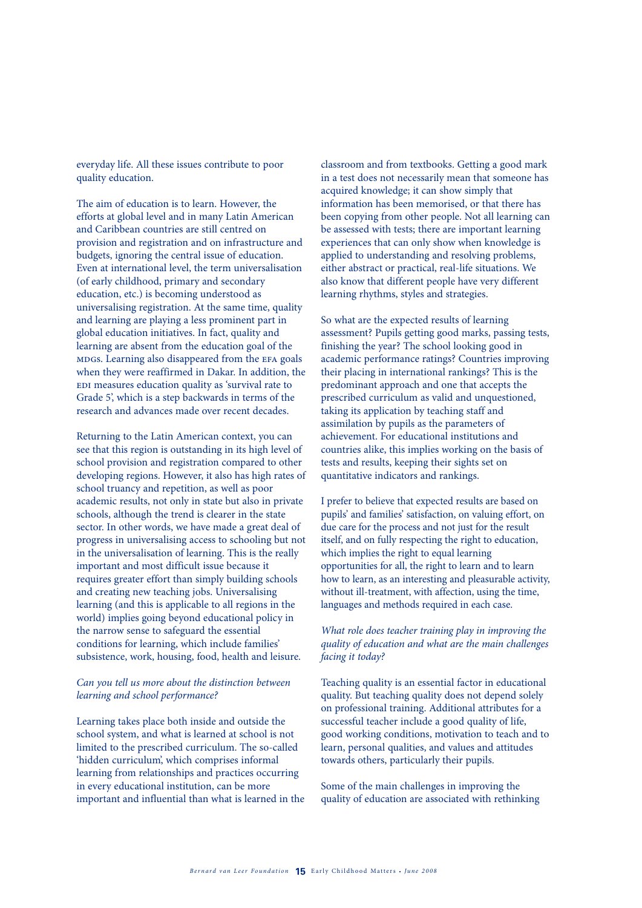everyday life. All these issues contribute to poor quality education.

The aim of education is to learn. However, the efforts at global level and in many Latin American and Caribbean countries are still centred on provision and registration and on infrastructure and budgets, ignoring the central issue of education. Even at international level, the term universalisation (of early childhood, primary and secondary education, etc.) is becoming understood as universalising registration. At the same time, quality and learning are playing a less prominent part in global education initiatives. In fact, quality and learning are absent from the education goal of the mdgs. Learning also disappeared from the efa goals when they were reaffirmed in Dakar. In addition, the edi measures education quality as 'survival rate to Grade 5', which is a step backwards in terms of the research and advances made over recent decades.

Returning to the Latin American context, you can see that this region is outstanding in its high level of school provision and registration compared to other developing regions. However, it also has high rates of school truancy and repetition, as well as poor academic results, not only in state but also in private schools, although the trend is clearer in the state sector. In other words, we have made a great deal of progress in universalising access to schooling but not in the universalisation of learning. This is the really important and most difficult issue because it requires greater effort than simply building schools and creating new teaching jobs. Universalising learning (and this is applicable to all regions in the world) implies going beyond educational policy in the narrow sense to safeguard the essential conditions for learning, which include families' subsistence, work, housing, food, health and leisure.

## *Can you tell us more about the distinction between learning and school performance?*

Learning takes place both inside and outside the school system, and what is learned at school is not limited to the prescribed curriculum. The so-called 'hidden curriculum', which comprises informal learning from relationships and practices occurring in every educational institution, can be more important and influential than what is learned in the

classroom and from textbooks. Getting a good mark in a test does not necessarily mean that someone has acquired knowledge; it can show simply that information has been memorised, or that there has been copying from other people. Not all learning can be assessed with tests; there are important learning experiences that can only show when knowledge is applied to understanding and resolving problems, either abstract or practical, real-life situations. We also know that different people have very different learning rhythms, styles and strategies.

So what are the expected results of learning assessment? Pupils getting good marks, passing tests, finishing the year? The school looking good in academic performance ratings? Countries improving their placing in international rankings? This is the predominant approach and one that accepts the prescribed curriculum as valid and unquestioned, taking its application by teaching staff and assimilation by pupils as the parameters of achievement. For educational institutions and countries alike, this implies working on the basis of tests and results, keeping their sights set on quantitative indicators and rankings.

I prefer to believe that expected results are based on pupils' and families' satisfaction, on valuing effort, on due care for the process and not just for the result itself, and on fully respecting the right to education, which implies the right to equal learning opportunities for all, the right to learn and to learn how to learn, as an interesting and pleasurable activity, without ill-treatment, with affection, using the time, languages and methods required in each case.

### *What role does teacher training play in improving the quality of education and what are the main challenges facing it today?*

Teaching quality is an essential factor in educational quality. But teaching quality does not depend solely on professional training. Additional attributes for a successful teacher include a good quality of life, good working conditions, motivation to teach and to learn, personal qualities, and values and attitudes towards others, particularly their pupils.

Some of the main challenges in improving the quality of education are associated with rethinking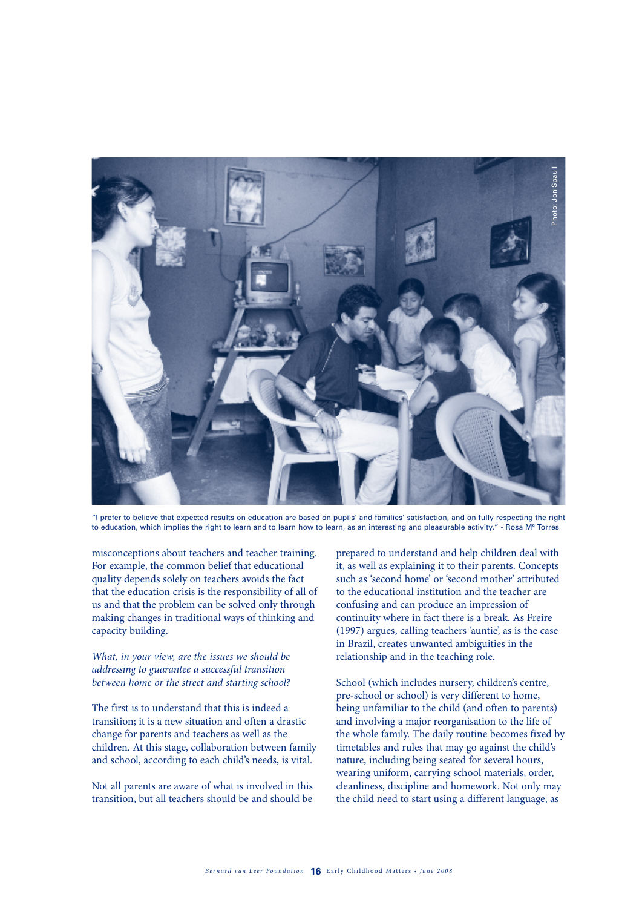

"I prefer to believe that expected results on education are based on pupils' and families' satisfaction, and on fully respecting the right<br>to education, which implies the right to learn and to learn how to learn, as an int

misconceptions about teachers and teacher training. For example, the common belief that educational quality depends solely on teachers avoids the fact that the education crisis is the responsibility of all of us and that the problem can be solved only through making changes in traditional ways of thinking and capacity building.

### *What, in your view, are the issues we should be addressing to guarantee a successful transition between home or the street and starting school?*

The first is to understand that this is indeed a transition; it is a new situation and often a drastic change for parents and teachers as well as the children. At this stage, collaboration between family and school, according to each child's needs, is vital.

Not all parents are aware of what is involved in this transition, but all teachers should be and should be prepared to understand and help children deal with it, as well as explaining it to their parents. Concepts such as 'second home' or 'second mother' attributed to the educational institution and the teacher are confusing and can produce an impression of continuity where in fact there is a break. As Freire (1997) argues, calling teachers 'auntie', as is the case in Brazil, creates unwanted ambiguities in the relationship and in the teaching role.

School (which includes nursery, children's centre, pre-school or school) is very different to home, being unfamiliar to the child (and often to parents) and involving a major reorganisation to the life of the whole family. The daily routine becomes fixed by timetables and rules that may go against the child's nature, including being seated for several hours, wearing uniform, carrying school materials, order, cleanliness, discipline and homework. Not only may the child need to start using a different language, as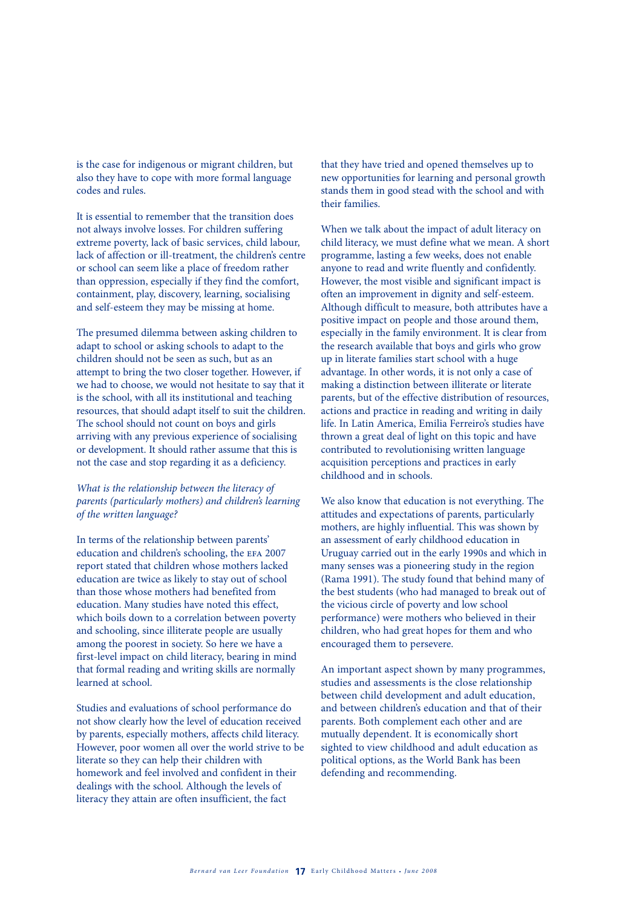is the case for indigenous or migrant children, but also they have to cope with more formal language codes and rules.

It is essential to remember that the transition does not always involve losses. For children suffering extreme poverty, lack of basic services, child labour, lack of affection or ill-treatment, the children's centre or school can seem like a place of freedom rather than oppression, especially if they find the comfort, containment, play, discovery, learning, socialising and self-esteem they may be missing at home.

The presumed dilemma between asking children to adapt to school or asking schools to adapt to the children should not be seen as such, but as an attempt to bring the two closer together. However, if we had to choose, we would not hesitate to say that it is the school, with all its institutional and teaching resources, that should adapt itself to suit the children. The school should not count on boys and girls arriving with any previous experience of socialising or development. It should rather assume that this is not the case and stop regarding it as a deficiency.

### *What is the relationship between the literacy of parents (particularly mothers) and children's learning of the written language?*

In terms of the relationship between parents' education and children's schooling, the efa 2007 report stated that children whose mothers lacked education are twice as likely to stay out of school than those whose mothers had benefited from education. Many studies have noted this effect, which boils down to a correlation between poverty and schooling, since illiterate people are usually among the poorest in society. So here we have a first-level impact on child literacy, bearing in mind that formal reading and writing skills are normally learned at school.

Studies and evaluations of school performance do not show clearly how the level of education received by parents, especially mothers, affects child literacy. However, poor women all over the world strive to be literate so they can help their children with homework and feel involved and confident in their dealings with the school. Although the levels of literacy they attain are often insufficient, the fact

that they have tried and opened themselves up to new opportunities for learning and personal growth stands them in good stead with the school and with their families.

When we talk about the impact of adult literacy on child literacy, we must define what we mean. A short programme, lasting a few weeks, does not enable anyone to read and write fluently and confidently. However, the most visible and significant impact is often an improvement in dignity and self-esteem. Although difficult to measure, both attributes have a positive impact on people and those around them, especially in the family environment. It is clear from the research available that boys and girls who grow up in literate families start school with a huge advantage. In other words, it is not only a case of making a distinction between illiterate or literate parents, but of the effective distribution of resources, actions and practice in reading and writing in daily life. In Latin America, Emilia Ferreiro's studies have thrown a great deal of light on this topic and have contributed to revolutionising written language acquisition perceptions and practices in early childhood and in schools.

We also know that education is not everything. The attitudes and expectations of parents, particularly mothers, are highly influential. This was shown by an assessment of early childhood education in Uruguay carried out in the early 1990s and which in many senses was a pioneering study in the region (Rama 1991). The study found that behind many of the best students (who had managed to break out of the vicious circle of poverty and low school performance) were mothers who believed in their children, who had great hopes for them and who encouraged them to persevere.

An important aspect shown by many programmes, studies and assessments is the close relationship between child development and adult education, and between children's education and that of their parents. Both complement each other and are mutually dependent. It is economically short sighted to view childhood and adult education as political options, as the World Bank has been defending and recommending.